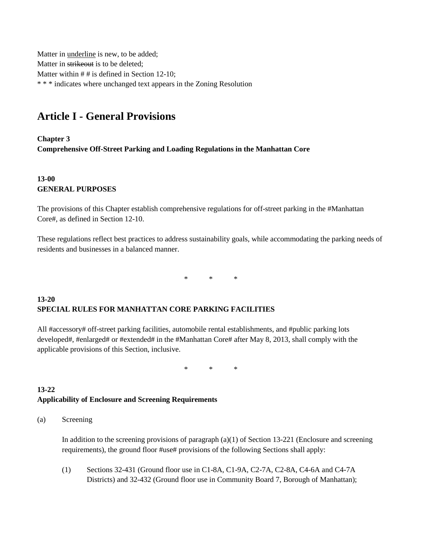Matter in underline is new, to be added; Matter in strikeout is to be deleted; Matter within # # is defined in Section 12-10; \* \* \* indicates where unchanged text appears in the Zoning Resolution

# **Article I - General Provisions**

**Chapter 3 Comprehensive Off-Street Parking and Loading Regulations in the Manhattan Core**

# **13-00 GENERAL PURPOSES**

The provisions of this Chapter establish comprehensive regulations for off-street parking in the #Manhattan Core#, as defined in Section 12-10.

These regulations reflect best practices to address sustainability goals, while accommodating the parking needs of residents and businesses in a balanced manner.

\* \* \*

# **13-20 SPECIAL RULES FOR MANHATTAN CORE PARKING FACILITIES**

All #accessory# off-street parking facilities, automobile rental establishments, and #public parking lots developed#, #enlarged# or #extended# in the #Manhattan Core# after May 8, 2013, shall comply with the applicable provisions of this Section, inclusive.

\* \* \*

### **13-22 Applicability of Enclosure and Screening Requirements**

(a) Screening

In addition to the screening provisions of paragraph (a)(1) of Section 13-221 (Enclosure and screening requirements), the ground floor #use# provisions of the following Sections shall apply:

(1) Sections 32-431 (Ground floor use in C1-8A, C1-9A, C2-7A, C2-8A, C4-6A and C4-7A Districts) and 32-432 (Ground floor use in Community Board 7, Borough of Manhattan);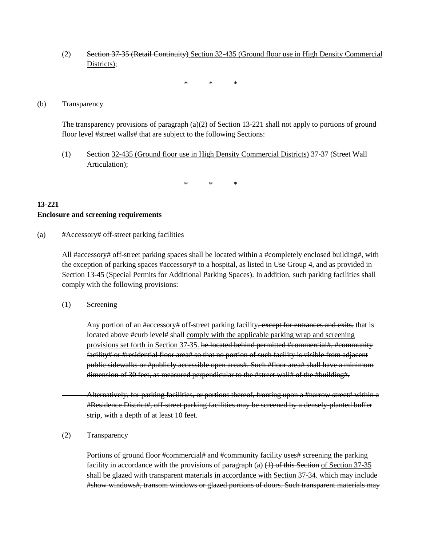(2) Section 37-35 (Retail Continuity) Section 32-435 (Ground floor use in High Density Commercial Districts);

\* \* \*

#### (b) Transparency

The transparency provisions of paragraph (a)(2) of Section 13-221 shall not apply to portions of ground floor level #street walls# that are subject to the following Sections:

(1) Section 32-435 (Ground floor use in High Density Commercial Districts) 37-37 (Street Wall Articulation);

\* \* \*

#### **13-221 Enclosure and screening requirements**

(a) #Accessory# off-street parking facilities

All #accessory# off-street parking spaces shall be located within a #completely enclosed building#, with the exception of parking spaces #accessory# to a hospital, as listed in Use Group 4, and as provided in Section 13-45 (Special Permits for Additional Parking Spaces). In addition, such parking facilities shall comply with the following provisions:

(1) Screening

Any portion of an #accessory# off-street parking facility, except for entrances and exits, that is located above #curb level# shall comply with the applicable parking wrap and screening provisions set forth in Section 37-35. be located behind permitted #commercial#, #community facility# or #residential floor area# so that no portion of such facility is visible from adjacent public sidewalks or #publicly accessible open areas#. Such #floor area# shall have a minimum dimension of 30 feet, as measured perpendicular to the #street wall# of the #building#.

Alternatively, for parking facilities, or portions thereof, fronting upon a #narrow street# within a #Residence District#, off-street parking facilities may be screened by a densely-planted buffer strip, with a depth of at least 10 feet.

(2) Transparency

Portions of ground floor #commercial# and #community facility uses# screening the parking facility in accordance with the provisions of paragraph (a)  $(1)$  of this Section of Section 37-35 shall be glazed with transparent materials in accordance with Section 37-34. which may include #show windows#, transom windows or glazed portions of doors. Such transparent materials may